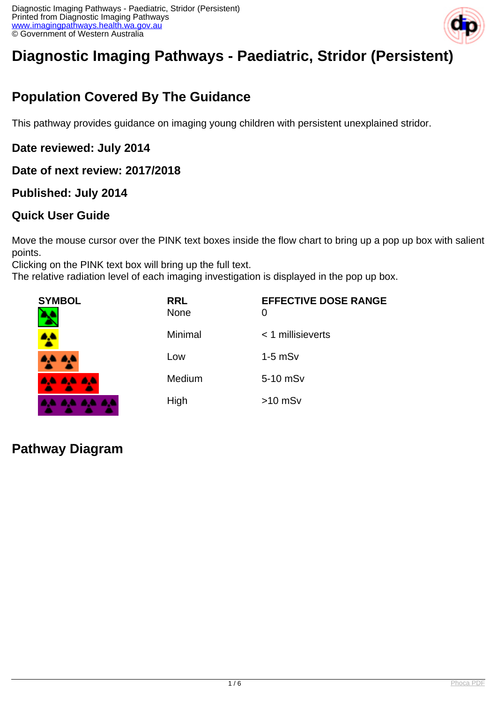

# **Diagnostic Imaging Pathways - Paediatric, Stridor (Persistent)**

# **Population Covered By The Guidance**

This pathway provides guidance on imaging young children with persistent unexplained stridor.

### **Date reviewed: July 2014**

#### **Date of next review: 2017/2018**

### **Published: July 2014**

### **Quick User Guide**

Move the mouse cursor over the PINK text boxes inside the flow chart to bring up a pop up box with salient points.

Clicking on the PINK text box will bring up the full text.

The relative radiation level of each imaging investigation is displayed in the pop up box.

| <b>SYMBOL</b> | <b>RRL</b><br><b>None</b> | <b>EFFECTIVE DOSE RANGE</b><br>0 |
|---------------|---------------------------|----------------------------------|
| $\bullet$ .   | Minimal                   | $<$ 1 millisieverts              |
| 4,4 A,4       | Low                       | $1-5$ mS $v$                     |
| 4A 4A 4A      | Medium                    | 5-10 mSv                         |
| .             | High                      | $>10$ mSv                        |

### **Pathway Diagram**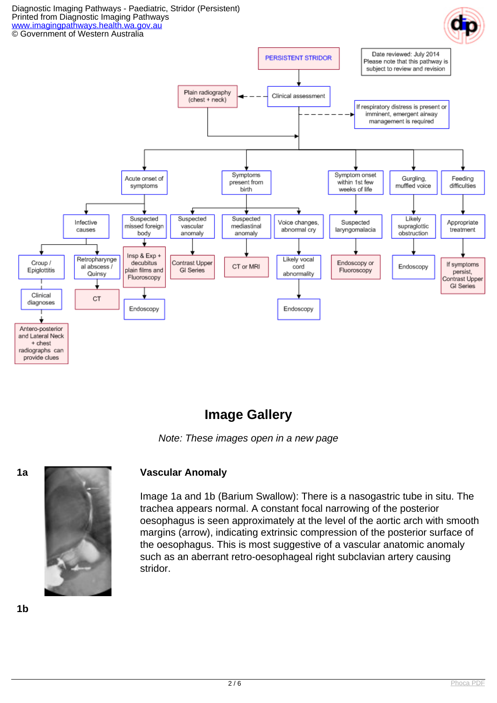

### **Image Gallery**

Note: These images open in a new page



#### **1a Vascular Anomaly**

Image 1a and 1b (Barium Swallow): There is a nasogastric tube in situ. The trachea appears normal. A constant focal narrowing of the posterior oesophagus is seen approximately at the level of the aortic arch with smooth margins (arrow), indicating extrinsic compression of the posterior surface of the oesophagus. This is most suggestive of a vascular anatomic anomaly such as an aberrant retro-oesophageal right subclavian artery causing stridor.

**1b**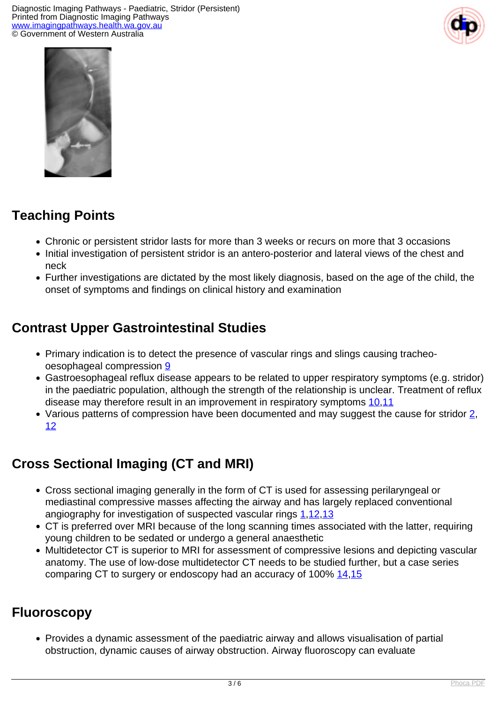



# **Teaching Points**

- Chronic or persistent stridor lasts for more than 3 weeks or recurs on more that 3 occasions
- Initial investigation of persistent stridor is an antero-posterior and lateral views of the chest and neck
- Further investigations are dictated by the most likely diagnosis, based on the age of the child, the onset of symptoms and findings on clinical history and examination

# **Contrast Upper Gastrointestinal Studies**

- Primary indication is to detect the presence of vascular rings and slings causing tracheooesophageal compression [9](index.php?option=com_content&view=article&id=190&tab=references#9)
- Gastroesophageal reflux disease appears to be related to upper respiratory symptoms (e.g. stridor) in the paediatric population, although the strength of the relationship is unclear. Treatment of reflux disease may therefore result in an improvement in respiratory symptoms [10](index.php?option=com_content&view=article&id=190&tab=references#10)[,11](index.php?option=com_content&view=article&id=190&tab=references#11)
- Various patterns of compression have been documented and may suggest the cause for stridor  $2$ , [12](index.php?option=com_content&view=article&id=190&tab=references#12)

# **Cross Sectional Imaging (CT and MRI)**

- Cross sectional imaging generally in the form of CT is used for assessing perilaryngeal or mediastinal compressive masses affecting the airway and has largely replaced conventional angiography for investigation of suspected vascular rings [1](index.php?option=com_content&view=article&id=190&tab=references#1),[12](index.php?option=com_content&view=article&id=190&tab=references#12)[,13](index.php?option=com_content&view=article&id=190&tab=references#13)
- CT is preferred over MRI because of the long scanning times associated with the latter, requiring young children to be sedated or undergo a general anaesthetic
- Multidetector CT is superior to MRI for assessment of compressive lesions and depicting vascular anatomy. The use of low-dose multidetector CT needs to be studied further, but a case series comparing CT to surgery or endoscopy had an accuracy of 100% [14](index.php?option=com_content&view=article&id=190&tab=references#14)[,15](index.php?option=com_content&view=article&id=190&tab=references#15)

### **Fluoroscopy**

Provides a dynamic assessment of the paediatric airway and allows visualisation of partial obstruction, dynamic causes of airway obstruction. Airway fluoroscopy can evaluate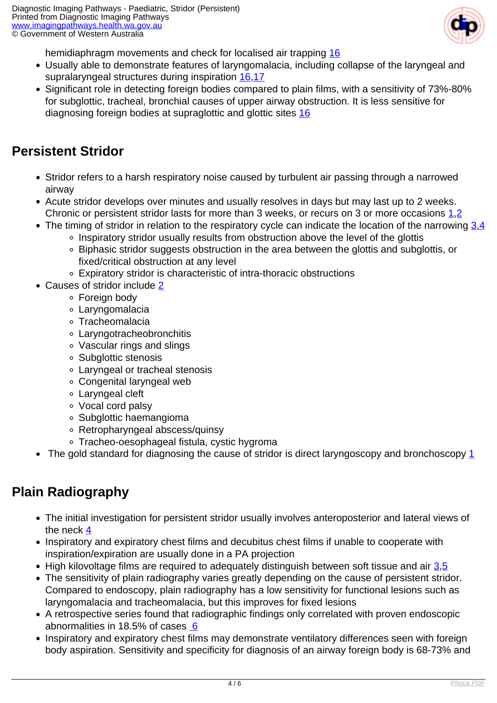

hemidiaphragm movements and check for localised air trapping [16](index.php?option=com_content&view=article&id=190&tab=references#16)

- Usually able to demonstrate features of laryngomalacia, including collapse of the laryngeal and supralaryngeal structures during inspiration [16](index.php?option=com_content&view=article&id=190&tab=references#16),[17](index.php?option=com_content&view=article&id=190&tab=references#17)
- Significant role in detecting foreign bodies compared to plain films, with a sensitivity of 73%-80% for subglottic, tracheal, bronchial causes of upper airway obstruction. It is less sensitive for diagnosing foreign bodies at supraglottic and glottic sites [16](index.php?option=com_content&view=article&id=190&tab=references#16)

# **Persistent Stridor**

- Stridor refers to a harsh respiratory noise caused by turbulent air passing through a narrowed airway
- Acute stridor develops over minutes and usually resolves in days but may last up to 2 weeks. Chronic or persistent stridor lasts for more than 3 weeks, or recurs on 3 or more occasions 1.[2](index.php?option=com_content&view=article&id=190&tab=references#2)
- The timing of stridor in relation to the respiratory cycle can indicate the location of the narrowing  $3.4$ 
	- Inspiratory stridor usually results from obstruction above the level of the glottis
	- Biphasic stridor suggests obstruction in the area between the glottis and subglottis, or fixed/critical obstruction at any level
	- Expiratory stridor is characteristic of intra-thoracic obstructions
- Causes of stridor include [2](index.php?option=com_content&view=article&id=190&tab=references#2)
	- Foreign body
	- Laryngomalacia
	- Tracheomalacia
	- Laryngotracheobronchitis
	- Vascular rings and slings
	- Subglottic stenosis
	- Laryngeal or tracheal stenosis
	- Congenital laryngeal web
	- Laryngeal cleft
	- Vocal cord palsy
	- Subglottic haemangioma
	- Retropharyngeal abscess/quinsy
	- Tracheo-oesophageal fistula, cystic hygroma
- The gold standard for diagnosing the cause of stridor is direct laryngoscopy and bronchoscopy [1](index.php?option=com_content&view=article&id=190&tab=references#1)

# **Plain Radiography**

- The initial investigation for persistent stridor usually involves anteroposterior and lateral views of the neck [4](index.php?option=com_content&view=article&id=190&tab=references#4)
- Inspiratory and expiratory chest films and decubitus chest films if unable to cooperate with inspiration/expiration are usually done in a PA projection
- $\bullet$  High kilovoltage films are required to adequately distinguish between soft tissue and air [3](index.php?option=com_content&view=article&id=190&tab=references#3).[5](index.php?option=com_content&view=article&id=190&tab=references#5)
- The sensitivity of plain radiography varies greatly depending on the cause of persistent stridor. Compared to endoscopy, plain radiography has a low sensitivity for functional lesions such as laryngomalacia and tracheomalacia, but this improves for fixed lesions
- A retrospective series found that radiographic findings only correlated with proven endoscopic abnormalities in 18.5% of cases [6](index.php?option=com_content&view=article&id=190&tab=references#6)
- Inspiratory and expiratory chest films may demonstrate ventilatory differences seen with foreign body aspiration. Sensitivity and specificity for diagnosis of an airway foreign body is 68-73% and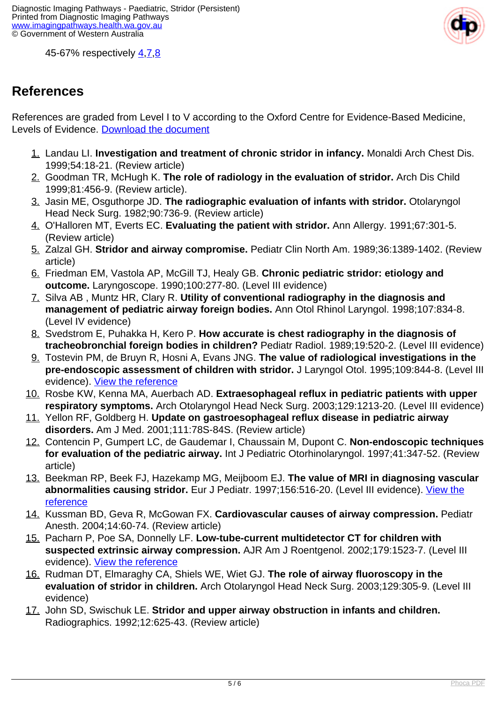

45-67% respectively [4](index.php?option=com_content&view=article&id=190&tab=references#4),[7](index.php?option=com_content&view=article&id=190&tab=references#7),[8](index.php?option=com_content&view=article&id=190&tab=references#8)

## **References**

References are graded from Level I to V according to the Oxford Centre for Evidence-Based Medicine, Levels of Evidence. [Download the document](http://www.cebm.net/wp-content/uploads/2014/06/CEBM-Levels-of-Evidence-2.1.pdf)

- 1. Landau LI. **Investigation and treatment of chronic stridor in infancy.** Monaldi Arch Chest Dis. 1999;54:18-21. (Review article)
- 2. Goodman TR, McHugh K. **The role of radiology in the evaluation of stridor.** Arch Dis Child 1999;81:456-9. (Review article).
- 3. Jasin ME, Osguthorpe JD. **The radiographic evaluation of infants with stridor.** Otolaryngol Head Neck Surg. 1982;90:736-9. (Review article)
- 4. O'Halloren MT, Everts EC. **Evaluating the patient with stridor.** Ann Allergy. 1991;67:301-5. (Review article)
- 5. Zalzal GH. **Stridor and airway compromise.** Pediatr Clin North Am. 1989;36:1389-1402. (Review article)
- 6. Friedman EM, Vastola AP, McGill TJ, Healy GB. **Chronic pediatric stridor: etiology and outcome.** Laryngoscope. 1990;100:277-80. (Level III evidence)
- 7. Silva AB , Muntz HR, Clary R. **Utility of conventional radiography in the diagnosis and management of pediatric airway foreign bodies.** Ann Otol Rhinol Laryngol. 1998;107:834-8. (Level IV evidence)
- 8. Svedstrom E, Puhakka H, Kero P. **How accurate is chest radiography in the diagnosis of tracheobronchial foreign bodies in children?** Pediatr Radiol. 1989;19:520-2. (Level III evidence)
- 9. Tostevin PM, de Bruyn R, Hosni A, Evans JNG. **The value of radiological investigations in the pre-endoscopic assessment of children with stridor.** J Laryngol Otol. 1995;109:844-8. (Level III evidence). [View the reference](http://www.ncbi.nlm.nih.gov/entrez/query.fcgi?cmd=Retrieve&db=pubmed&dopt=Abstract&list_uids=7494117)
- 10. Rosbe KW, Kenna MA, Auerbach AD. **Extraesophageal reflux in pediatric patients with upper respiratory symptoms.** Arch Otolaryngol Head Neck Surg. 2003;129:1213-20. (Level III evidence)
- 11. Yellon RF, Goldberg H. **Update on gastroesophageal reflux disease in pediatric airway disorders.** Am J Med. 2001;111:78S-84S. (Review article)
- 12. Contencin P, Gumpert LC, de Gaudemar I, Chaussain M, Dupont C. **Non-endoscopic techniques for evaluation of the pediatric airway.** Int J Pediatric Otorhinolaryngol. 1997;41:347-52. (Review article)
- 13. Beekman RP, Beek FJ, Hazekamp MG, Meijboom EJ. **The value of MRI in diagnosing vascular abnormalities causing stridor.** Eur J Pediatr. 1997;156:516-20. (Level III evidence). [View the](http://www.ncbi.nlm.nih.gov/entrez/query.fcgi?cmd=Retrieve&db=pubmed&dopt=Abstract&list_uids=9243230) [reference](http://www.ncbi.nlm.nih.gov/entrez/query.fcgi?cmd=Retrieve&db=pubmed&dopt=Abstract&list_uids=9243230)
- 14. Kussman BD, Geva R, McGowan FX. **Cardiovascular causes of airway compression.** Pediatr Anesth. 2004;14:60-74. (Review article)
- 15. Pacharn P, Poe SA, Donnelly LF. **Low-tube-current multidetector CT for children with suspected extrinsic airway compression.** AJR Am J Roentgenol. 2002;179:1523-7. (Level III evidence). [View the reference](http://www.ncbi.nlm.nih.gov/entrez/query.fcgi?orig_db=PubMed&db=PubMed&cmd=Search&defaultField=Title+Word&term=Low-Tube-Current+Multidetector+CT+for+Children+with+Suspected+Extrinsic+Airway+Compression)
- 16. Rudman DT, Elmaraghy CA, Shiels WE, Wiet GJ. **The role of airway fluoroscopy in the evaluation of stridor in children.** Arch Otolaryngol Head Neck Surg. 2003;129:305-9. (Level III evidence)
- 17. John SD, Swischuk LE. **Stridor and upper airway obstruction in infants and children.** Radiographics. 1992;12:625-43. (Review article)